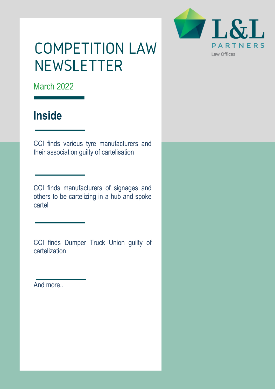

# **COMPETITION LAW NEWSLETTER**

March 2022

## **Inside**

CCI finds various tyre manufacturers and their association guilty of cartelisation

CCI finds manufacturers of signages and others to be cartelizing in a hub and spoke cartel

CCI finds Dumper Truck Union guilty of cartelization

And more..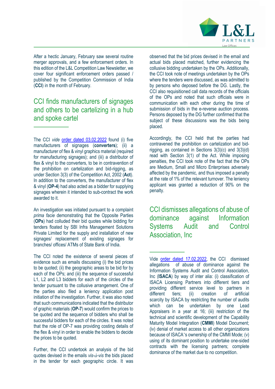

After a hectic January, February saw several routine merger approvals, and a few enforcement orders. In this edition of the L&L Competition Law Newsletter, we cover four significant enforcement orders passed / published by the Competition Commission of India (**CCI**) in the month of February.

### CCI finds manufacturers of signages and others to be cartelizing in a hub and spoke cartel

The CCI *vide* order dated 03.02.2022 found (i) five manufacturers of signages (**converters**); (ii) a manufacturer of flex & vinyl graphics material (required for manufacturing signages); and (iii) a distributor of flex & vinyl to the converters, to be in contravention of the prohibition on cartelization and bid-rigging, as under Section 3(3) of the Competition Act, 2002 (**Act**). In addition to the converters, the manufacturer of flex & vinyl (**OP-4**) had also acted as a bidder for supplying signages wherein it intended to sub-contract the work awarded to it.

An investigation was initiated pursuant to a complaint *prima facie* demonstrating that the Opposite Parties (**OPs**) had colluded their bid quotes while bidding for tenders floated by SBI Infra Management Solutions Private Limited for the supply and installation of new signages/ replacement of existing signages for branches/ offices/ ATMs of State Bank of India.

The CCI noted the existence of several pieces of evidence such as emails discussing (i) the bid prices to be quoted; (ii) the geographic areas to be bid for by each of the OPs; and (iii) the sequence of successful L1, L2 and L3 bidders for each of the circles of the tender pursuant to the collusive arrangement. One of the parties also filed a leniency application post initiation of the investigation. Further, it was also noted that such communications indicated that the distributor of graphic materials (**OP-7**) would confirm the prices to be quoted and the sequence of bidders who shall be successful bidders for each of the circles. It was noted that the role of OP-7 was providing costing details of the flex & vinyl in order to enable the bidders to decide the prices to be quoted.

Further, the CCI undertook an analysis of the bid quotes devised in the emails *vis-à-vis* the bids placed in the tender for each geographic circle. It was

observed that the bid prices devised in the email and actual bids placed matched, further evidencing the collusive bidding undertaken by the OPs. Additionally, the CCI took note of meetings undertaken by the OPs where the tenders were discussed, as was admitted to by persons who deposed before the DG. Lastly, the CCI also requisitioned call data records of the officials of the OPs and noted that such officials were in communication with each other during the time of submission of bids in the e-reverse auction process. Persons deposed by the DG further confirmed that the subject of these discussions was the bids being placed.

Accordingly, the CCI held that the parties had contravened the prohibition on cartelization and bidrigging, as contained in Sections 3(3)(c) and 3(3)(d) read with Section 3(1) of the Act. While imposing penalties, the CCI took note of the fact that the OPs are Medium, Small and Micro Enterprises adversely affected by the pandemic, and thus imposed a penalty at the rate of 1% of the relevant turnover. The leniency applicant was granted a reduction of 90% on the penalty.

CCI dismisses allegations of abuse of dominance against Information Systems Audit and Control Association, Inc

Vide order dated 17.02.2022, the CCI dismissed allegations of abuse of dominance against the Information Systems Audit and Control Association, Inc (**ISACA**) by way of inter alia: (i) classification of ISACA Licensing Partners into different tiers and providing different service level to partners in different tiers; (ii) creation of artificial scarcity by ISACA by restricting the number of audits which can be undertaken by one Lead Appraisers in a year at 16; (iii) restriction of the technical and scientific development of the Capability Maturity Model Integration (**CMMI**) Model Document; (iv) denial of market access to all other organizations because of ISACA's ownership of the CMMI Mode; (v) using of its dominant position to undertake one-sided contracts with the licensing partners; complete dominance of the market due to no competition.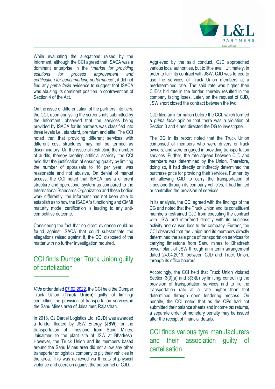

While evaluating the allegations raised by the Informant, although the CCI agreed that ISACA was a dominant enterprise in the '*market for providing solutions for process improvement and certification for benchmarking performance*', it did not find any *prima facie* evidence to suggest that ISACA was abusing its dominant position in contravention of Section 4 of the Act.

On the issue of differentiation of the partners into tiers, the CCI, upon analysing the screenshots submitted by the Informant, observed that the services being provided by ISACA for its partners was classified into three levels i.e., standard, premium and elite. The CCI noted that that providing different services with different cost structures may not be termed as discriminatory. On the issue of restricting the number of audits, thereby creating artificial scarcity, the CCI held that the justification of ensuring quality by limiting the number of appraisals to 16 per year, was reasonable and not abusive. On denial of market access, the CCI noted that ISACA has a different structure and operational system as compared to the International Standards Organization and these bodies work differently, the Informant has not been able to establish as to how the ISACA's functioning and CMMI maturity model certification is leading to any anticompetitive outcome.

Considering the fact that no direct evidence could be found against ISACA that could substantiate the allegations raised against it, the CCI disposed of the matter with no further investigation required.

#### CCI finds Dumper Truck Union guilty of cartelization

In 2018, CJ Darcel Logistics Ltd. (**CJD**) was awarded a tender floated by JSW Energy (**JSW**) for the transportation of limestone from Sanu Mines, Jaisalmer, to the plant site of JSW at Bhadresh. However, the Truck Union and its members based around the Sanu Mines area did not allow any other transporter or logistics company to ply their vehicles in the area. This was achieved via threats of physical violence and coercion against the personnel of CJD.

Aggrieved by the said conduct, CJD approached various local authorities, but to little avail. Ultimately, in order to fulfil its contract with JSW, CJD was forced to use the services of Truck Union members at a predetermined rate. The said rate was higher than CJD's bid rate in the tender, thereby resulted in the company facing loses. Later, on the request of CJD, JSW short closed the contract between the two.

CJD filed an information before the CCI, which formed a *prima facie* opinion that there was a violation of Section 3 and 4 and directed the DG to investigate.

The DG in its report noted that the Truck Union comprised of members who were drivers or truck owners, and were engaged in providing transportation services. Further, the rate agreed between CJD and members was determined by the Union. Therefore, doing so, it had directly or indirectly determined the purchase price for providing their services. Further, by not allowing CJD to carry the transportation of limestone through its company vehicles, it had limited or controlled the provision of services.

In its analysis, the CCI agreed with the findings of the DG and noted that the Truck Union and its constituent members restrained CJD from executing the contract with JSW and interfered directly with its business activity and caused loss to the company. Further, the CCI observed that the Union and its members directly determined the sale price of transportation services for carrying limestone from Sanu mines to Bhadresh power plant of JSW through an interim arrangement dated 24.04.2019, between CJD and Truck Union, through its office bearers.

Accordingly, the CCI held that Truck Union violated Section 3(3)(a) and 3(3)(b) by limiting/ controlling the provision of transportation services and to fix the transportation rate at a rate higher than that determined through open tendering process. On penalty, the CCI noted that as the OPs had not submitted their balance sheets and income tax returns, a separate order of monetary penalty may be issued after the receipt of financial details.

CCI finds various tyre manufacturers and their association guilty of cartelisation

*Vide* order dated 07.02.2022, the CCI held the Dumper Truck Union (**Truck Union**) guilty of limiting/ controlling the provision of transportation services in the Sanu Mines area of Jaisalmer, Rajasthan.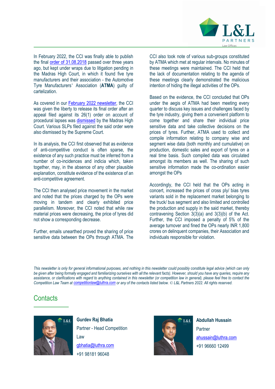

In February 2022, the CCI was finally able to publish the final order of 31.08.2018 passed over three years ago, but kept under wraps due to litigation pending in the Madras High Court, in which it found five tyre manufacturers and their association - the Automotive Tyre Manufacturers' Association (**ATMA**) guilty of cartelization.

As covered in our **February 2022 newsletter**, the CCI was given the liberty to release its final order after an appeal filed against its 26(1) order on account of procedural lapses was dismissed by the Madras High Court. Various SLPs filed against the said order were also dismissed by the Supreme Court.

In its analysis, the CCI first observed that as evidence of anti-competitive conduct is often sparse, the existence of any such practice must be inferred from a number of co-incidences and indicia which, taken together, may, in the absence of any other plausible explanation, constitute evidence of the existence of an anti-competitive agreement.

The CCI then analysed price movement in the market and noted that the prices charged by the OPs were moving in tandem and clearly exhibited price parallelism. Moreover, the CCI noted that while raw material prices were decreasing, the price of tyres did not show a corresponding decrease.

Further, emails unearthed proved the sharing of price sensitive data between the OPs through ATMA. The CCI also took note of various sub-groups constituted by ATMA which met at regular intervals. No minutes of these meetings were maintained. The CCI held that the lack of documentation relating to the agenda of these meetings clearly demonstrated the malicious intention of hiding the illegal activities of the OPs.

Based on the evidence, the CCI concluded that OPs under the aegis of ATMA had been meeting every quarter to discuss key issues and challenges faced by the tyre industry, giving them a convenient platform to come together and share their individual price sensitive data and take collective decisions on the prices of tyres. Further, ATMA used to collect and compile information relating to company wise and segment wise data (both monthly and cumulative) on production, domestic sales and export of tyres on a real time basis. Such compiled data was circulated amongst its members as well. The sharing of such sensitive information made the co-ordination easier amongst the OPs

Accordingly, the CCI held that the OPs acting in concert, increased the prices of cross ply/ bias tyres variants sold in the replacement market belonging to the truck/ bus segment and also limited and controlled the production and supply in the said market, thereby contravening Section 3(3)(a) and 3(3)(b) of the Act. Further, the CCI imposed a penalty of 5% of the average turnover and fined the OPs nearly INR 1,800 crores on delinquent companies, their Association and individuals responsible for violation.

*This newsletter is only for general informational purposes, and nothing in this newsletter could possibly constitute legal advice (which can only*  be given after being formally engaged and familiarizing ourselves with all the relevant facts). However, should you have any queries, require any *assistance, or clarifications with regard to anything contained in this newsletter (or competition law in general), please feel free to contact the Competition Law Team at competitionlaw@luthra.com or any of the contacts listed below. © L&L Partners 2022. All rights reserved.*

### **Contacts**



**Gurdev Raj Bhatia**  Partner - Head Competition Law gbhatia@luthra.com +91 98181 96048



**Abdullah Hussain Partner** ahussain@luthra.com +91 96660 12499